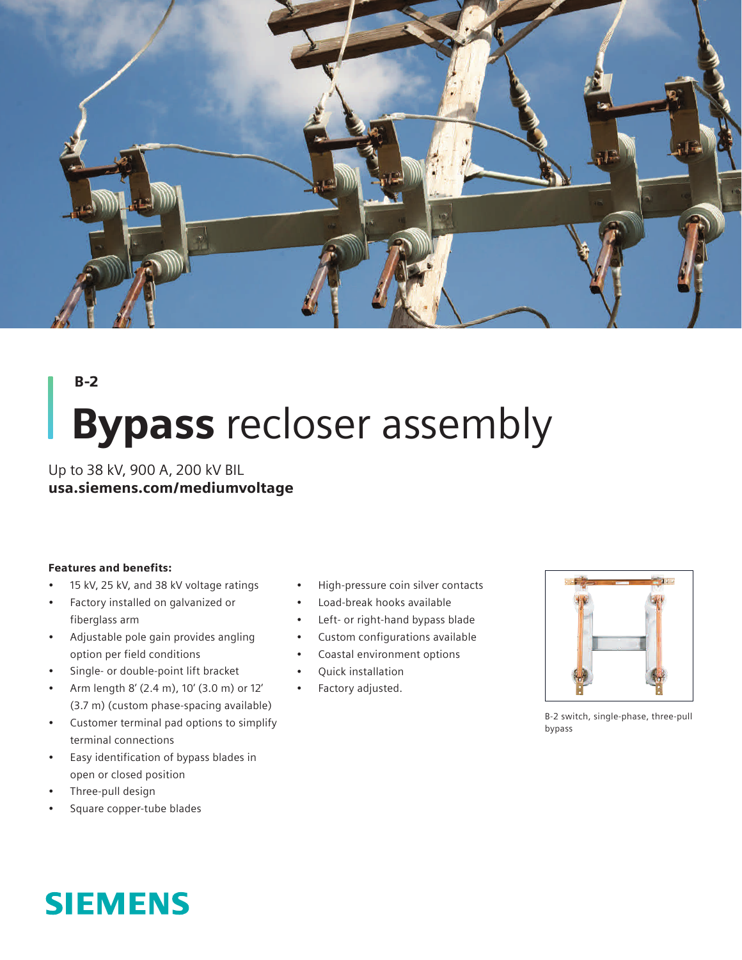

## B-2

# **Bypass** recloser assembly

Up to 38 kV, 900 A, 200 kV BIL usa.siemens.com/mediumvoltage

### Features and benefits:

- 15 kV, 25 kV, and 38 kV voltage ratings
- Factory installed on galvanized or fiberglass arm
- Adjustable pole gain provides angling option per field conditions
- Single- or double-point lift bracket
- Arm length 8' (2.4 m), 10' (3.0 m) or 12' (3.7 m) (custom phase-spacing available)
- Customer terminal pad options to simplify terminal connections
- Easy identification of bypass blades in open or closed position
- Three-pull design
- Square copper-tube blades



- Load-break hooks available
- Left- or right-hand bypass blade
- Custom configurations available
- Coastal environment options
- Quick installation
- Factory adjusted.



B-2 switch, single-phase, three-pull bypass